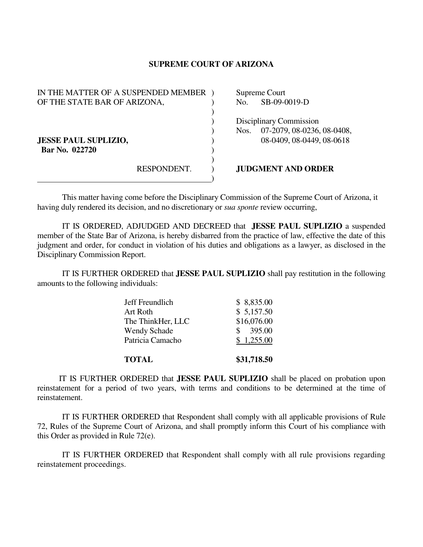## **SUPREME COURT OF ARIZONA**

| IN THE MATTER OF A SUSPENDED MEMBER           |             |      | Supreme Court                                                                      |
|-----------------------------------------------|-------------|------|------------------------------------------------------------------------------------|
| OF THE STATE BAR OF ARIZONA,                  |             | No.  | SB-09-0019-D                                                                       |
| <b>JESSE PAUL SUPLIZIO,</b><br>Bar No. 022720 |             | Nos. | Disciplinary Commission<br>07-2079, 08-0236, 08-0408,<br>08-0409, 08-0449, 08-0618 |
|                                               | RESPONDENT. |      | <b>JUDGMENT AND ORDER</b>                                                          |

This matter having come before the Disciplinary Commission of the Supreme Court of Arizona, it having duly rendered its decision, and no discretionary or *sua sponte* review occurring,

 IT IS ORDERED, ADJUDGED AND DECREED that **JESSE PAUL SUPLIZIO** a suspended member of the State Bar of Arizona, is hereby disbarred from the practice of law, effective the date of this judgment and order, for conduct in violation of his duties and obligations as a lawyer, as disclosed in the Disciplinary Commission Report.

 IT IS FURTHER ORDERED that **JESSE PAUL SUPLIZIO** shall pay restitution in the following amounts to the following individuals:

| <b>TOTAL</b>        | \$31,718.50 |
|---------------------|-------------|
| Patricia Camacho    | \$1,255.00  |
| <b>Wendy Schade</b> | 395.00      |
| The ThinkHer, LLC   | \$16,076.00 |
| Art Roth            | \$5,157.50  |
| Jeff Freundlich     | \$8,835.00  |

 IT IS FURTHER ORDERED that **JESSE PAUL SUPLIZIO** shall be placed on probation upon reinstatement for a period of two years, with terms and conditions to be determined at the time of reinstatement.

 IT IS FURTHER ORDERED that Respondent shall comply with all applicable provisions of Rule 72, Rules of the Supreme Court of Arizona, and shall promptly inform this Court of his compliance with this Order as provided in Rule 72(e).

 IT IS FURTHER ORDERED that Respondent shall comply with all rule provisions regarding reinstatement proceedings.